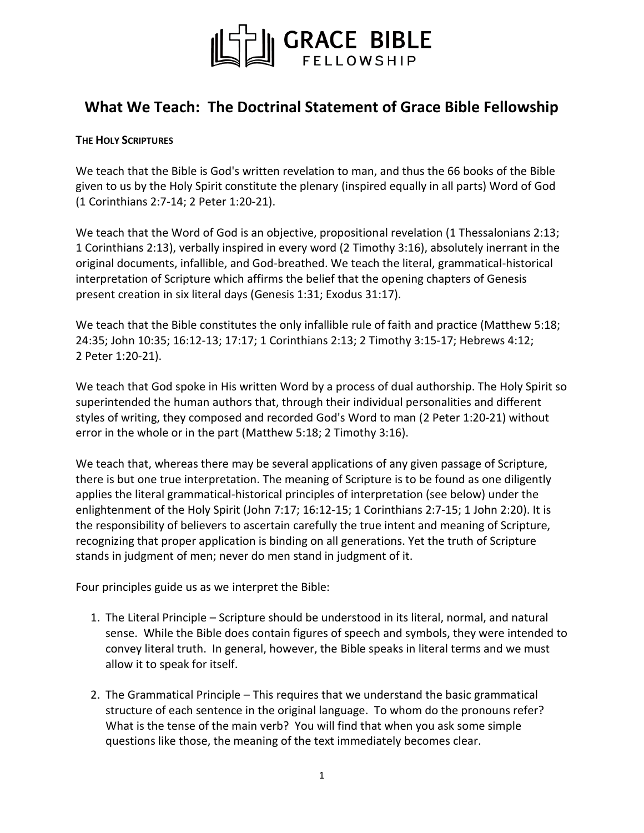

# **What We Teach: The Doctrinal Statement of Grace Bible Fellowship**

#### **THE HOLY SCRIPTURES**

We teach that the Bible is God's written revelation to man, and thus the 66 books of the Bible given to us by the Holy Spirit constitute the plenary (inspired equally in all parts) Word of God (1 [Corinthians](http://biblia.com/books/nasb95/1Co2.7) 2:7-14; 2 Peter [1:20-21\)](http://biblia.com/books/nasb95/2Pe1.20-21).

We teach that the Word of God is an objective, propositional revelation (1 [Thessalonians](http://biblia.com/books/nasb95/1Th2.13) 2:13; 1 [Corinthians](http://biblia.com/books/nasb95/1Co2.13) 2:13), verbally inspired in every word (2 [Timothy](http://biblia.com/books/nasb95/2Ti3.16) 3:16), absolutely inerrant in the original documents, infallible, and God-breathed. We teach the literal, grammatical-historical interpretation of Scripture which affirms the belief that the opening chapters of Genesis present creation in six literal days [\(Genesis](http://biblia.com/books/nasb95/Ge1.31) 1:31; [Exodus](http://biblia.com/books/nasb95/Ex31.17) 31:17).

We teach that the Bible constitutes the only infallible rule of faith and practice [\(Matthew](http://biblia.com/books/nasb95/Mt5.18) 5:18; [24:35;](http://biblia.com/books/nasb95/Mt24.35) John [10:35;](http://biblia.com/books/nasb95/Jn10.35) [16:12-13;](http://biblia.com/books/nasb95/Jn16.12) [17:17;](http://biblia.com/books/nasb95/Jn17.17) 1 [Corinthians](http://biblia.com/books/nasb95/1Co2.13) 2:13; 2 [Timothy](http://biblia.com/books/nasb95/2Ti3.15) 3:15-17; [Hebrews](http://biblia.com/books/nasb95/Heb4.12) 4:12; 2 Peter [1:20-21\)](http://biblia.com/books/nasb95/2Pe1.20-21).

We teach that God spoke in His written Word by a process of dual authorship. The Holy Spirit so superintended the human authors that, through their individual personalities and different styles of writing, they composed and recorded God's Word to man (2 Peter [1:20-21\)](http://biblia.com/books/nasb95/2Pe1.20-21) without error in the whole or in the part [\(Matthew](http://biblia.com/books/nasb95/Mt5.18) 5:18; 2 [Timothy](http://biblia.com/books/nasb95/2Ti3.16) 3:16).

We teach that, whereas there may be several applications of any given passage of Scripture, there is but one true interpretation. The meaning of Scripture is to be found as one diligently applies the literal grammatical-historical principles of interpretation (see below) under the enlightenment of the Holy Spirit [\(John](http://biblia.com/books/nasb95/Jn7.17) 7:17; [16:12-15;](http://biblia.com/books/nasb95/Jn16.12-15) 1 [Corinthians](http://biblia.com/books/nasb95/1Co2.7) 2:7-15; 1 John [2:20\)](http://biblia.com/books/nasb95/1Jn2.20). It is the responsibility of believers to ascertain carefully the true intent and meaning of Scripture, recognizing that proper application is binding on all generations. Yet the truth of Scripture stands in judgment of men; never do men stand in judgment of it.

Four principles guide us as we interpret the Bible:

- 1. The Literal Principle Scripture should be understood in its literal, normal, and natural sense. While the Bible does contain figures of speech and symbols, they were intended to convey literal truth. In general, however, the Bible speaks in literal terms and we must allow it to speak for itself.
- 2. The Grammatical Principle This requires that we understand the basic grammatical structure of each sentence in the original language. To whom do the pronouns refer? What is the tense of the main verb? You will find that when you ask some simple questions like those, the meaning of the text immediately becomes clear.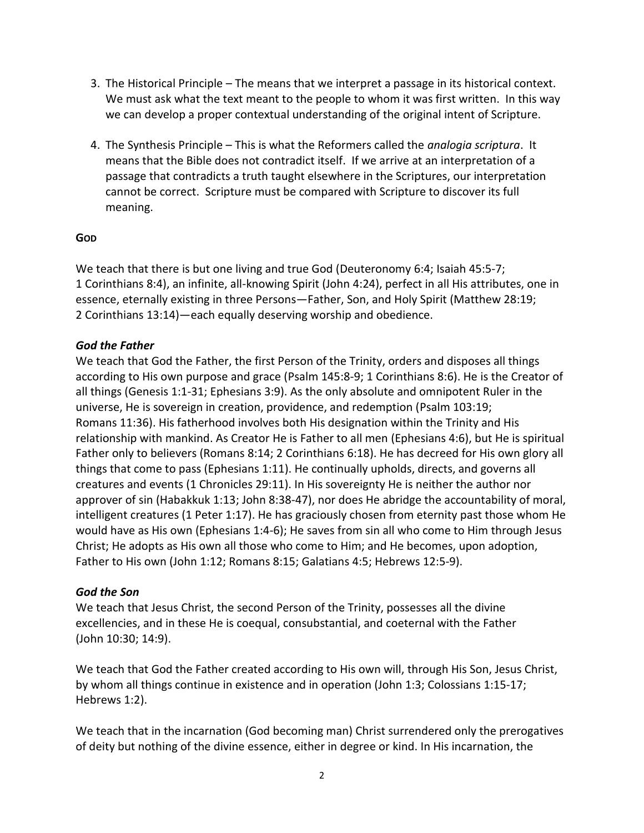- 3. The Historical Principle The means that we interpret a passage in its historical context. We must ask what the text meant to the people to whom it was first written. In this way we can develop a proper contextual understanding of the original intent of Scripture.
- 4. The Synthesis Principle This is what the Reformers called the *analogia scriptura*. It means that the Bible does not contradict itself. If we arrive at an interpretation of a passage that contradicts a truth taught elsewhere in the Scriptures, our interpretation cannot be correct. Scripture must be compared with Scripture to discover its full meaning.

## **GOD**

We teach that there is but one living and true God [\(Deuteronomy](http://biblia.com/books/nasb95/Dt6.4) 6:4; Isaiah [45:5-7;](http://biblia.com/books/nasb95/Is45.5) 1 [Corinthians](http://biblia.com/books/nasb95/1Co8.4) 8:4), an infinite, all-knowing Spirit [\(John](http://biblia.com/books/nasb95/Jn4.24) 4:24), perfect in all His attributes, one in essence, eternally existing in three Persons—Father, Son, and Holy Spirit [\(Matthew](http://biblia.com/books/nasb95/Mt28.19) 28:19; 2 [Corinthians](http://biblia.com/books/nasb95/2Co13.14) 13:14)—each equally deserving worship and obedience.

## *God the Father*

We teach that God the Father, the first Person of the Trinity, orders and disposes all things according to His own purpose and grace (Psalm [145:8-9;](http://biblia.com/books/nasb95/Ps145.8) 1 [Corinthians](http://biblia.com/books/nasb95/1Co8.6) 8:6). He is the Creator of all things [\(Genesis](http://biblia.com/books/nasb95/Ge1.1) 1:1-31; [Ephesians](http://biblia.com/books/nasb95/Eph3.9) 3:9). As the only absolute and omnipotent Ruler in the universe, He is sovereign in creation, providence, and redemption (Psalm [103:19;](http://biblia.com/books/nasb95/Ps103.19) [Romans](http://biblia.com/books/nasb95/Ro11.36) 11:36). His fatherhood involves both His designation within the Trinity and His relationship with mankind. As Creator He is Father to all men [\(Ephesians](http://biblia.com/books/nasb95/Eph4.6) 4:6), but He is spiritual Father only to believers [\(Romans](http://biblia.com/books/nasb95/Ro8.14) 8:14; 2 [Corinthians](http://biblia.com/books/nasb95/2Co6.18) 6:18). He has decreed for His own glory all things that come to pass [\(Ephesians](http://biblia.com/books/nasb95/Eph1.11) 1:11). He continually upholds, directs, and governs all creatures and events (1 [Chronicles](http://biblia.com/books/nasb95/1Ch29.11) 29:11). In His sovereignty He is neither the author nor approver of sin [\(Habakkuk](http://biblia.com/books/nasb95/Hab1.13) 1:13; John [8:38-47\)](http://biblia.com/books/nasb95/Jn8.38-47), nor does He abridge the accountability of moral, intelligent creatures (1 [Peter](http://biblia.com/books/nasb95/1Pe1.17) 1:17). He has graciously chosen from eternity past those whom He would have as His own [\(Ephesians](http://biblia.com/books/nasb95/Eph1.4-6) 1:4-6); He saves from sin all who come to Him through Jesus Christ; He adopts as His own all those who come to Him; and He becomes, upon adoption, Father to His own [\(John](http://biblia.com/books/nasb95/Jn1.12) 1:12[; Romans](http://biblia.com/books/nasb95/Ro8.15) 8:15; [Galatians](http://biblia.com/books/nasb95/Ga4.5) 4:5; [Hebrews](http://biblia.com/books/nasb95/Heb12.5) 12:5-9).

#### *God the Son*

We teach that Jesus Christ, the second Person of the Trinity, possesses all the divine excellencies, and in these He is coequal, consubstantial, and coeternal with the Father (John [10:30;](http://biblia.com/books/nasb95/Jn10.30) [14:9\)](http://biblia.com/books/nasb95/Jn14.9).

We teach that God the Father created according to His own will, through His Son, Jesus Christ, by whom all things continue in existence and in operation [\(John](http://biblia.com/books/nasb95/Jn1.3) 1:3; [Colossians](http://biblia.com/books/nasb95/Col1.15) 1:15-17; [Hebrews](http://biblia.com/books/nasb95/Heb1.2) 1:2).

We teach that in the incarnation (God becoming man) Christ surrendered only the prerogatives of deity but nothing of the divine essence, either in degree or kind. In His incarnation, the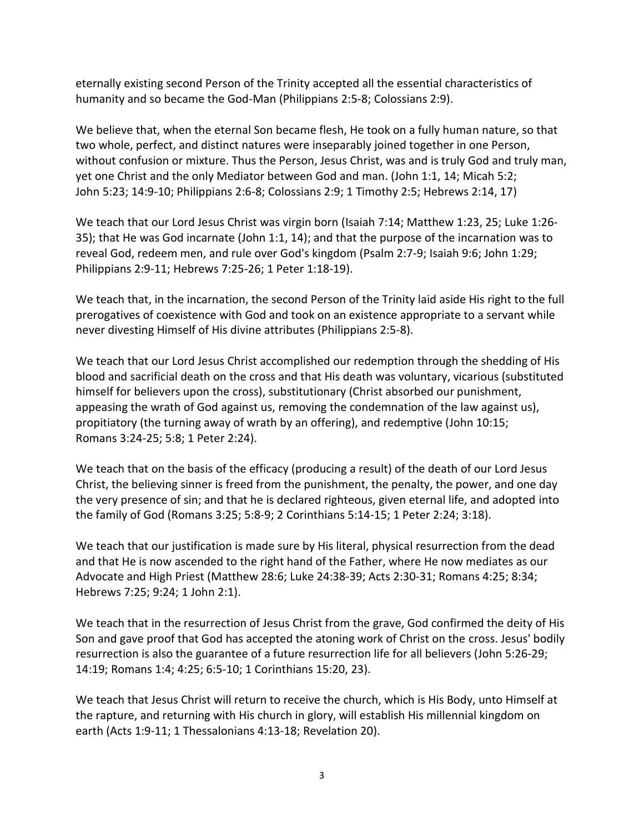eternally existing second Person of the Trinity accepted all the essential characteristics of humanity and so became the God-Man [\(Philippians](http://biblia.com/books/nasb95/Php2.5) 2:5-8; [Colossians](http://biblia.com/books/nasb95/Col2.9) 2:9).

We believe that, when the eternal Son became flesh, He took on a fully human nature, so that two whole, perfect, and distinct natures were inseparably joined together in one Person, without confusion or mixture. Thus the Person, Jesus Christ, was and is truly God and truly man, yet one Christ and the only Mediator between God and man. (John 1:1, 14; [Micah](http://biblia.com/books/nasb95/Mic5.2) 5:2; John [5:23;](http://biblia.com/books/nasb95/Jn5.23) [14:9-10;](http://biblia.com/books/nasb95/Jn14.9-10) Philippians 2:6-8[; Colossians](http://biblia.com/books/nasb95/Col2.9) 2:9; 1 Timothy 2:5; Hebrews 2:14, 17)

We teach that our Lord Jesus Christ was virgin born [\(Isaiah](http://biblia.com/books/nasb95/Is7.14) 7:14[; Matthew](http://biblia.com/books/nasb95/Mt1.23) 1:23, 25[; Luke](http://biblia.com/books/nasb95/Lk1.26-35) 1:26- [35\)](http://biblia.com/books/nasb95/Lk1.26-35); that He was God incarnate [\(John](http://biblia.com/books/nasb95/Jn1.1) 1:1, 14); and that the purpose of the incarnation was to reveal God, redeem men, and rule over God's kingdom [\(Psalm](http://biblia.com/books/nasb95/Ps2.7) 2:7-9; [Isaiah](http://biblia.com/books/nasb95/Is9.6) 9:6; [John](http://biblia.com/books/nasb95/Jn1.29) 1:29; [Philippians](http://biblia.com/books/nasb95/Php2.9-11) 2:9-11[; Hebrews](http://biblia.com/books/nasb95/Heb7.25-26) 7:25-26; 1 Peter [1:18-19\)](http://biblia.com/books/nasb95/Heb7.25-26).

We teach that, in the incarnation, the second Person of the Trinity laid aside His right to the full prerogatives of coexistence with God and took on an existence appropriate to a servant while never divesting Himself of His divine attributes [\(Philippians](http://biblia.com/books/nasb95/Php2.5-8) 2:5-8).

We teach that our Lord Jesus Christ accomplished our redemption through the shedding of His blood and sacrificial death on the cross and that His death was voluntary, vicarious (substituted himself for believers upon the cross), substitutionary (Christ absorbed our punishment, appeasing the wrath of God against us, removing the condemnation of the law against us), propitiatory (the turning away of wrath by an offering), and redemptive (John [10:15;](http://biblia.com/books/nasb95/Jn10.15) [Romans](http://biblia.com/books/nasb95/Ro3.24) 3:24-25; [5:8;](http://biblia.com/books/nasb95/Ro5.8) 1 [Peter](http://biblia.com/books/nasb95/1Pe2.24) 2:24).

We teach that on the basis of the efficacy (producing a result) of the death of our Lord Jesus Christ, the believing sinner is freed from the punishment, the penalty, the power, and one day the very presence of sin; and that he is declared righteous, given eternal life, and adopted into the family of God [\(Romans](http://biblia.com/books/nasb95/Ro3.25) 3:25; [5:8-9;](http://biblia.com/books/nasb95/Ro5.8-9) 2 [Corinthians](http://biblia.com/books/nasb95/2Co5.14) 5:14-15; 1 [Peter](http://biblia.com/books/nasb95/1Pe2.24) 2:24; [3:18\)](http://biblia.com/books/nasb95/1Pe3.18).

We teach that our justification is made sure by His literal, physical resurrection from the dead and that He is now ascended to the right hand of the Father, where He now mediates as our Advocate and High Priest [\(Matthew](http://biblia.com/books/nasb95/Mt28.6) 28:6; Luke [24:38-39;](http://biblia.com/books/nasb95/Lk24.38) Acts [2:30-31;](http://biblia.com/books/nasb95/Ac2.30) [Romans](http://biblia.com/books/nasb95/Ro4.25) 4:25; [8:34;](http://biblia.com/books/nasb95/Ro8.34) [Hebrews](http://biblia.com/books/nasb95/Heb7.25) 7:25; [9:24;](http://biblia.com/books/nasb95/Heb9.24) 1 [John](http://biblia.com/books/nasb95/1Jn2.1) 2:1).

We teach that in the resurrection of Jesus Christ from the grave, God confirmed the deity of His Son and gave proof that God has accepted the atoning work of Christ on the cross. Jesus' bodily resurrection is also the guarantee of a future resurrection life for all believers (John [5:26-29;](http://biblia.com/books/nasb95/Jn5.26) [14:19;](http://biblia.com/books/nasb95/Jn14.19) [Romans](http://biblia.com/books/nasb95/Ro1.4) 1:4[; 4:25;](http://biblia.com/books/nasb95/Ro4.25) [6:5-10;](http://biblia.com/books/nasb95/Ro6.5-10) 1 Corinthians 15:20, 23).

We teach that Jesus Christ will return to receive the church, which is His Body, unto Himself at the rapture, and returning with His church in glory, will establish His millennial kingdom on earth (Acts [1:9-11;](http://biblia.com/books/nasb95/Ac1.9) 1 [Thessalonians](http://biblia.com/books/nasb95/1Th4.13) 4:13-18; Revelation 20).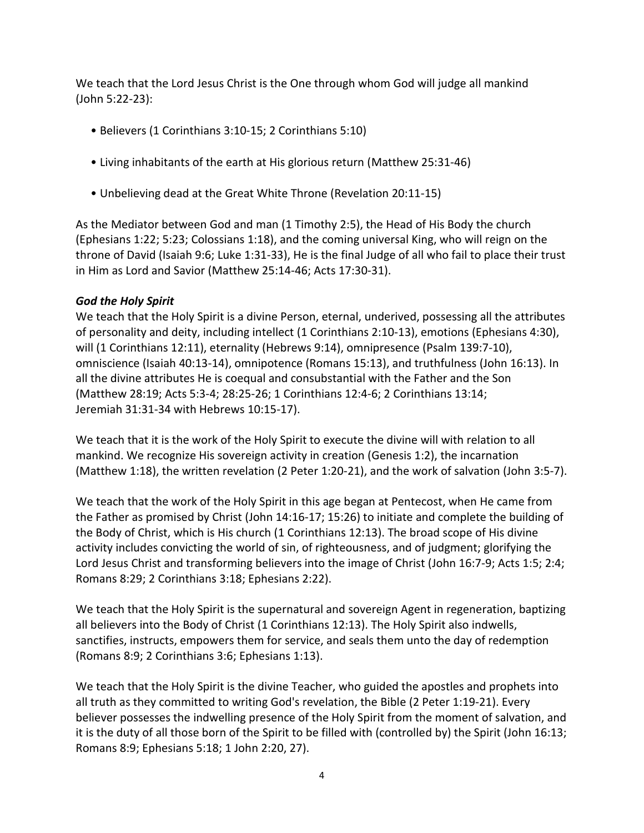We teach that the Lord Jesus Christ is the One through whom God will judge all mankind (John [5:22-23\)](http://biblia.com/books/nasb95/Jn5.22):

- Believers (1 [Corinthians](http://biblia.com/books/nasb95/1Co3.10-15) 3:10-15; 2 [Corinthians](http://biblia.com/books/nasb95/2Co5.10) 5:10)
- Living inhabitants of the earth at His glorious return (Matthew [25:31-46\)](http://biblia.com/books/nasb95/Mt25.31)
- Unbelieving dead at the Great White Throne ([Revelation](http://biblia.com/books/nasb95/Re20.11) 20:11-15)

As the Mediator between God and man (1 [Timothy](http://biblia.com/books/nasb95/1Ti2.5) 2:5), the Head of His Body the church [\(Ephesians](http://biblia.com/books/nasb95/Eph1.22) 1:22; [5:23;](http://biblia.com/books/nasb95/Eph5.23) [Colossians](http://biblia.com/books/nasb95/Col1.18) 1:18), and the coming universal King, who will reign on the throne of David [\(Isaiah](http://biblia.com/books/nasb95/Is9.6) 9:6; Luke [1:31-33\)](http://biblia.com/books/nasb95/Lk1.31-33), He is the final Judge of all who fail to place their trust in Him as Lord and Savior [\(Matthew](http://biblia.com/books/nasb95/Mt25.14) 25:14-46; Acts [17:30-31\)](http://biblia.com/books/nasb95/Ac17.30).

## *God the Holy Spirit*

We teach that the Holy Spirit is a divine Person, eternal, underived, possessing all the attributes of personality and deity, including intellect (1 [Corinthians](http://biblia.com/books/nasb95/1Co2.10-13) 2:10-13), emotions [\(Ephesians](http://biblia.com/books/nasb95/Eph4.30) 4:30), will (1 [Corinthians](http://biblia.com/books/nasb95/1Co12.11) 12:11), eternality [\(Hebrews](http://biblia.com/books/nasb95/Heb9.14) 9:14), omnipresence (Psalm [139:7-10\)](http://biblia.com/books/nasb95/Ps139.7-10), omniscience (Isaiah [40:13-14\)](http://biblia.com/books/nasb95/Ps139.7-10), omnipotence [\(Romans](http://biblia.com/books/nasb95/Ro15.13) 15:13), and truthfulness (John [16:13\)](http://biblia.com/books/nasb95/Jn16.13). In all the divine attributes He is coequal and consubstantial with the Father and the Son [\(Matthew](http://biblia.com/books/nasb95/Mt28.19) 28:19; Acts [5:3-4;](http://biblia.com/books/nasb95/Ac5.3-4) [28:25-26;](http://biblia.com/books/nasb95/Ac28.25) 1 [Corinthians](http://biblia.com/books/nasb95/1Co12.4) 12:4-6; 2 [Corinthians](http://biblia.com/books/nasb95/2Co13.14) 13:14; Jeremiah [31:31-34 w](http://biblia.com/books/nasb95/Je31.31-34)ith [Hebrews](http://biblia.com/books/nasb95/Heb10.15) 10:15-17).

We teach that it is the work of the Holy Spirit to execute the divine will with relation to all mankind. We recognize His sovereign activity in creation [\(Genesis](http://biblia.com/books/nasb95/Ge1.2) 1:2), the incarnation [\(Matthew](http://biblia.com/books/nasb95/Mt1.18) 1:18), the written revelation (2 Peter [1:20-21\)](http://biblia.com/books/nasb95/2Pe1.20), and the work of salvation (John [3:5-7\)](http://biblia.com/books/nasb95/Jn3.5-7).

We teach that the work of the Holy Spirit in this age began at Pentecost, when He came from the Father as promised by Christ (John [14:16-17;](http://biblia.com/books/nasb95/Jn14.16) [15:26\)](http://biblia.com/books/nasb95/Jn15.26) to initiate and complete the building of the Body of Christ, which is His church (1 [Corinthians](http://biblia.com/books/nasb95/1Co12.13) 12:13). The broad scope of His divine activity includes convicting the world of sin, of righteousness, and of judgment; glorifying the Lord Jesus Christ and transforming believers into the image of Christ (John [16:7-9;](http://biblia.com/books/nasb95/Jn16.7-9) [Acts](http://biblia.com/books/nasb95/Ac1.5) 1:5; [2:4;](http://biblia.com/books/nasb95/Ac2.4) [Romans](http://biblia.com/books/nasb95/Ro8.29) 8:29; 2 [Corinthians](http://biblia.com/books/nasb95/2Co3.18) 3:18; [Ephesians](http://biblia.com/books/nasb95/Eph2.22) 2:22).

We teach that the Holy Spirit is the supernatural and sovereign Agent in regeneration, baptizing all believers into the Body of Christ (1 [Corinthians](http://biblia.com/books/nasb95/1Co12.13) 12:13). The Holy Spirit also indwells, sanctifies, instructs, empowers them for service, and seals them unto the day of redemption [\(Romans](http://biblia.com/books/nasb95/Ro8.9) 8:9; 2 [Corinthians](http://biblia.com/books/nasb95/2Co3.6) 3:6; [Ephesians](http://biblia.com/books/nasb95/Eph1.13) 1:13).

We teach that the Holy Spirit is the divine Teacher, who guided the apostles and prophets into all truth as they committed to writing God's revelation, the Bible (2 Peter [1:19-21\)](http://biblia.com/books/nasb95/2Pe1.19-21). Every believer possesses the indwelling presence of the Holy Spirit from the moment of salvation, and it is the duty of all those born of the Spirit to be filled with (controlled by) the Spirit (John [16:13;](http://biblia.com/books/nasb95/Jn16.13) [Romans](http://biblia.com/books/nasb95/Ro8.9) 8:9; [Ephesians](http://biblia.com/books/nasb95/Eph5.18) 5:18; 1 John 2:20, 27).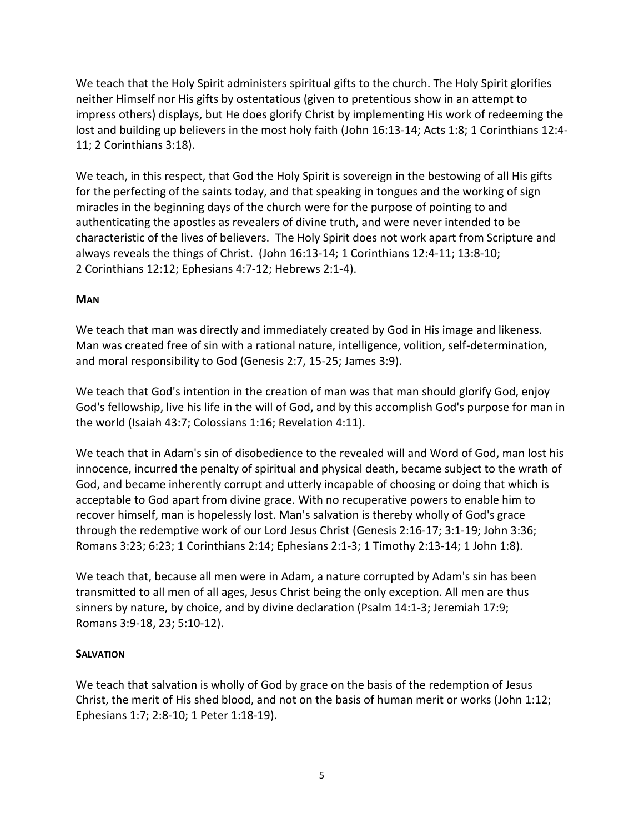We teach that the Holy Spirit administers spiritual gifts to the church. The Holy Spirit glorifies neither Himself nor His gifts by ostentatious (given to pretentious show in an attempt to impress others) displays, but He does glorify Christ by implementing His work of redeeming the lost and building up believers in the most holy faith (John [16:13-14;](http://biblia.com/books/nasb95/Jn15.13) [Acts](http://biblia.com/books/nasb95/Ac1.8) 1:8; 1 [Corinthians](http://biblia.com/books/nasb95/1Co12.4) 12:4- [11;](http://biblia.com/books/nasb95/1Co12.4) 2 [Corinthians](http://biblia.com/books/nasb95/2Co3.18) 3:18).

We teach, in this respect, that God the Holy Spirit is sovereign in the bestowing of all His gifts for the perfecting of the saints today, and that speaking in tongues and the working of sign miracles in the beginning days of the church were for the purpose of pointing to and authenticating the apostles as revealers of divine truth, and were never intended to be characteristic of the lives of believers. The Holy Spirit does not work apart from Scripture and always reveals the things of Christ. (John 16:13-14; 1 [Corinthians](http://biblia.com/books/nasb95/1Co12.4-11) 12:4-11; [13:8-10;](http://biblia.com/books/nasb95/1Co13.8-10) 2 [Corinthians](http://biblia.com/books/nasb95/2Co12.12) 12:12; [Ephesians](http://biblia.com/books/nasb95/Eph4.7-12) 4:7-12; [Hebrews](http://biblia.com/books/nasb95/Heb2.1) 2:1-4).

## **MAN**

We teach that man was directly and immediately created by God in His image and likeness. Man was created free of sin with a rational nature, intelligence, volition, self-determination, and moral responsibility to God (Genesis 2:7, 15-25[; James](http://biblia.com/books/nasb95/Jas3.9) 3:9).

We teach that God's intention in the creation of man was that man should glorify God, enjoy God's fellowship, live his life in the will of God, and by this accomplish God's purpose for man in the world [\(Isaiah](http://biblia.com/books/nasb95/Is43.7) 43:7; [Colossians](http://biblia.com/books/nasb95/Col1.16) 1:16[; Revelation](http://biblia.com/books/nasb95/Re4.11) 4:11).

We teach that in Adam's sin of disobedience to the revealed will and Word of God, man lost his innocence, incurred the penalty of spiritual and physical death, became subject to the wrath of God, and became inherently corrupt and utterly incapable of choosing or doing that which is acceptable to God apart from divine grace. With no recuperative powers to enable him to recover himself, man is hopelessly lost. Man's salvation is thereby wholly of God's grace through the redemptive work of our Lord Jesus Christ [\(Genesis](http://biblia.com/books/nasb95/Re4.11) 2:16-17; [3:1-19;](http://biblia.com/books/nasb95/Ge3.1-19) [John](http://biblia.com/books/nasb95/Jn3.36) 3:36; [Romans](http://biblia.com/books/nasb95/Ro3.23) 3:23; [6:23;](http://biblia.com/books/nasb95/Ro6.23) 1 [Corinthians](http://biblia.com/books/nasb95/1Co2.14) 2:14; [Ephesians](http://biblia.com/books/nasb95/Eph2.1) 2:1-3; 1 [Timothy](http://biblia.com/books/nasb95/Eph2.13-14) 2:13-14; 1 [John](http://biblia.com/books/nasb95/1Jn1.8) 1:8).

We teach that, because all men were in Adam, a nature corrupted by Adam's sin has been transmitted to all men of all ages, Jesus Christ being the only exception. All men are thus sinners by nature, by choice, and by divine declaration (Psalm [14:1-3;](http://biblia.com/books/nasb95/1Jn1.8) [Jeremiah](http://biblia.com/books/nasb95/Je17.9) 17:9; [Romans](http://biblia.com/books/nasb95/Ro3.9-18) 3:9-18, 23; 5:10-12).

## **SALVATION**

We teach that salvation is wholly of God by grace on the basis of the redemption of Jesus Christ, the merit of His shed blood, and not on the basis of human merit or works [\(John](http://biblia.com/books/nasb95/Jn1.12) 1:12; [Ephesians](http://biblia.com/books/nasb95/Eph1.7) 1:7[; 2:8-10;](http://biblia.com/books/nasb95/Eph2.8-10) 1 Peter [1:18-19\)](http://biblia.com/books/nasb95/1Pe1.18-19).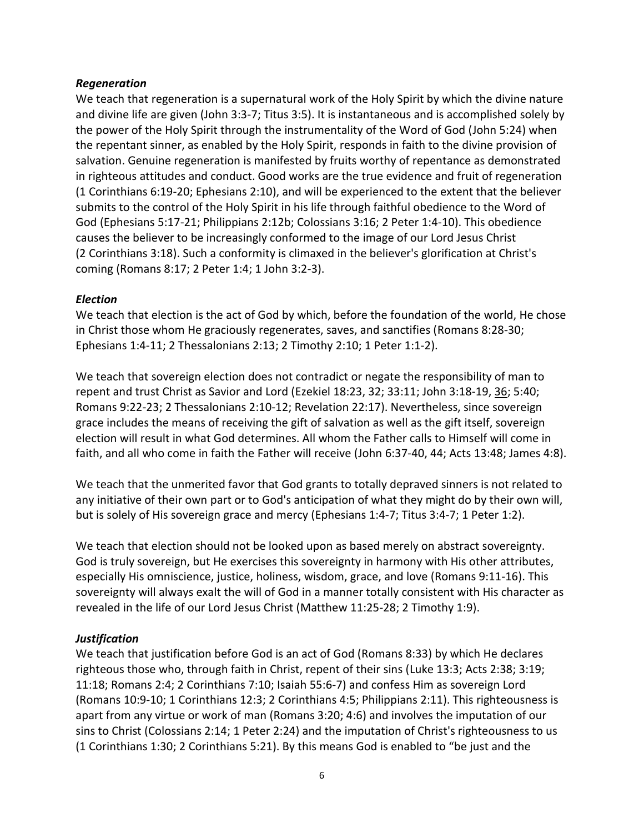## *Regeneration*

We teach that regeneration is a supernatural work of the Holy Spirit by which the divine nature and divine life are given (John [3:3-7;](http://biblia.com/books/nasb95/Jn3.3-7) [Titus](http://biblia.com/books/nasb95/Tt3.5) 3:5). It is instantaneous and is accomplished solely by the power of the Holy Spirit through the instrumentality of the Word of God [\(John](http://biblia.com/books/nasb95/Jn5.24) 5:24) when the repentant sinner, as enabled by the Holy Spirit, responds in faith to the divine provision of salvation. Genuine regeneration is manifested by fruits worthy of repentance as demonstrated in righteous attitudes and conduct. Good works are the true evidence and fruit of regeneration (1 [Corinthians](http://biblia.com/books/nasb95/1Co6.19-20) 6:19-20; [Ephesians](http://biblia.com/books/nasb95/Eph2.10) 2:10), and will be experienced to the extent that the believer submits to the control of the Holy Spirit in his life through faithful obedience to the Word of God [\(Ephesians](http://biblia.com/books/nasb95/Eph5.17) 5:17-21; Philippians 2:12b; [Colossians](http://biblia.com/books/nasb95/Col3.16) 3:16; 2 Peter [1:4-10\)](http://biblia.com/books/nasb95/Col3.16). This obedience causes the believer to be increasingly conformed to the image of our Lord Jesus Christ (2 [Corinthians](http://biblia.com/books/nasb95/2Co3.18) 3:18). Such a conformity is climaxed in the believer's glorification at Christ's coming [\(Romans](http://biblia.com/books/nasb95/Ro8.17) 8:17; 2 [Peter](http://biblia.com/books/nasb95/2Pe1.4) 1:4; 1 John [3:2-3\)](http://biblia.com/books/nasb95/2Pe1.4).

#### *Election*

We teach that election is the act of God by which, before the foundation of the world, He chose in Christ those whom He graciously regenerates, saves, and sanctifies [\(Romans](http://biblia.com/books/nasb95/Ro8.28-30) 8:28-30; [Ephesians](http://biblia.com/books/nasb95/Eph1.4) 1:4-11; 2 [Thessalonians](http://biblia.com/books/nasb95/2Th2.13) 2:13; 2 [Timothy](http://biblia.com/books/nasb95/2Ti2.10) 2:10; 1 Peter [1:1-2\)](http://biblia.com/books/nasb95/1Pe1.1).

We teach that sovereign election does not contradict or negate the responsibility of man to repent and trust Christ as Savior and Lord [\(Ezekiel](http://biblia.com/books/nasb95/Eze18.23) 18:23, 32; 33:11; John [3:18-19,](http://biblia.com/books/nasb95/Jn3.18-19) [36;](http://biblia.com/books/nasb95/Jn3.36) [5:40;](http://biblia.com/books/nasb95/Jn5.40) [Romans](http://biblia.com/books/nasb95/Ro9.22-23) 9:22-23; 2 [Thessalonians](http://biblia.com/books/nasb95/2Th2.10) 2:10-12; [Revelation](http://biblia.com/books/nasb95/Re22.17) 22:17). Nevertheless, since sovereign grace includes the means of receiving the gift of salvation as well as the gift itself, sovereign election will result in what God determines. All whom the Father calls to Himself will come in faith, and all who come in faith the Father will receive (John [6:37-40,](http://biblia.com/books/nasb95/Jn6.37-40) 44; Acts [13:48;](http://biblia.com/books/nasb95/Ac13.48) [James](http://biblia.com/books/nasb95/Jas4.8) 4:8).

We teach that the unmerited favor that God grants to totally depraved sinners is not related to any initiative of their own part or to God's anticipation of what they might do by their own will, but is solely of His sovereign grace and mercy [\(Ephesians](http://biblia.com/books/nasb95/Eph1.4) 1:4-7; Titus [3:4-7;](http://biblia.com/books/nasb95/Tt3.4-7) 1 [Peter](http://biblia.com/books/nasb95/1Pe1.2) 1:2).

We teach that election should not be looked upon as based merely on abstract sovereignty. God is truly sovereign, but He exercises this sovereignty in harmony with His other attributes, especially His omniscience, justice, holiness, wisdom, grace, and love [\(Romans](http://biblia.com/books/nasb95/Ro9.11) 9:11-16). This sovereignty will always exalt the will of God in a manner totally consistent with His character as revealed in the life of our Lord Jesus Christ [\(Matthew](http://biblia.com/books/nasb95/Mt11.25) 11:25-28; 2 [Timothy](http://biblia.com/books/nasb95/2Ti1.9) 1:9).

## *Justification*

We teach that justification before God is an act of God [\(Romans](http://biblia.com/books/nasb95/Ro8.33) 8:33) by which He declares righteous those who, through faith in Christ, repent of their sins [\(Luke](http://biblia.com/books/nasb95/Lk13.3) 13:3; Acts [2:38;](http://biblia.com/books/nasb95/Ac2.38) [3:19;](http://biblia.com/books/nasb95/Ac3.19) [11:18;](http://biblia.com/books/nasb95/Ac11.18) [Romans](http://biblia.com/books/nasb95/Ro2.4) 2:4; 2 [Corinthians](http://biblia.com/books/nasb95/2Co7.10) 7:10; Isaiah [55:6-7\)](http://biblia.com/books/nasb95/Is55.6) and confess Him as sovereign Lord [\(Romans](http://biblia.com/books/nasb95/Ro10.9-10) 10:9-10; 1 [Corinthians](http://biblia.com/books/nasb95/1Co12.3) 12:3; 2 [Corinthians](http://biblia.com/books/nasb95/2Co4.5) 4:5; [Philippians](http://biblia.com/books/nasb95/Php2.11) 2:11). This righteousness is apart from any virtue or work of man [\(Romans](http://biblia.com/books/nasb95/Ro3.20) 3:20; [4:6\)](http://biblia.com/books/nasb95/Ro4.6) and involves the imputation of our sins to Christ [\(Colossians](http://biblia.com/books/nasb95/Col2.14) 2:14; 1 [Peter](http://biblia.com/books/nasb95/1Pe2.24) 2:24) and the imputation of Christ's righteousness to us (1 [Corinthians](http://biblia.com/books/nasb95/1Co1.29) 1:30; 2 [Corinthians](http://biblia.com/books/nasb95/2Co5.21) 5:21). By this means God is enabled to "be just and the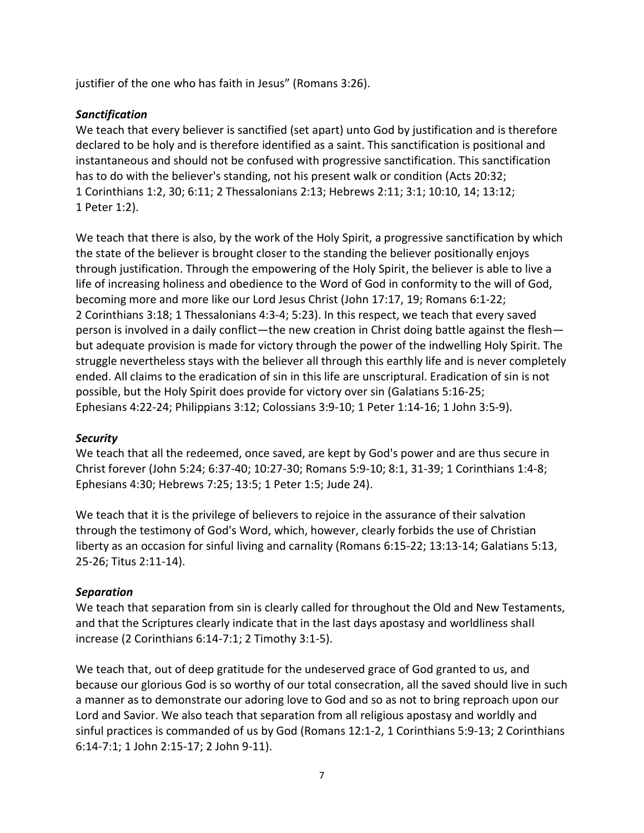justifier of the one who has faith in Jesus" ([Romans](http://biblia.com/books/nasb95/Ro3.26) 3:26).

# *Sanctification*

We teach that every believer is sanctified (set apart) unto God by justification and is therefore declared to be holy and is therefore identified as a saint. This sanctification is positional and instantaneous and should not be confused with progressive sanctification. This sanctification has to do with the believer's standing, not his present walk or condition (Acts [20:32;](http://biblia.com/books/nasb95/Ac20.32) 1 [Corinthians](http://biblia.com/books/nasb95/1Co1.2) 1:2, 30; [6:11;](http://biblia.com/books/nasb95/1Co6.11) 2 [Thessalonians](http://biblia.com/books/nasb95/2Th2.13) 2:13; [Hebrews](http://biblia.com/books/nasb95/Heb2.11) 2:11; [3:1;](http://biblia.com/books/nasb95/Heb3.1) [10:10,](http://biblia.com/books/nasb95/Heb10.10) 14; [13:12;](http://biblia.com/books/nasb95/Heb13.12) 1 [Peter](http://biblia.com/books/nasb95/1Pe1.2) 1:2).

We teach that there is also, by the work of the Holy Spirit, a progressive sanctification by which the state of the believer is brought closer to the standing the believer positionally enjoys through justification. Through the empowering of the Holy Spirit, the believer is able to live a life of increasing holiness and obedience to the Word of God in conformity to the will of God, becoming more and more like our Lord Jesus Christ (John [17:17,](http://biblia.com/books/nasb95/Jn17.16) 19; [Romans](http://biblia.com/books/nasb95/Jn17.19) 6:1-22; 2 [Corinthians](http://biblia.com/books/nasb95/2Co3.18) 3:18; 1 [Thessalonians](http://biblia.com/books/nasb95/2Co3.18) 4:3-4; [5:23\)](http://biblia.com/books/nasb95/1Th5.23). In this respect, we teach that every saved person is involved in a daily conflict—the new creation in Christ doing battle against the flesh but adequate provision is made for victory through the power of the indwelling Holy Spirit. The struggle nevertheless stays with the believer all through this earthly life and is never completely ended. All claims to the eradication of sin in this life are unscriptural. Eradication of sin is not possible, but the Holy Spirit does provide for victory over sin [\(Galatians](http://biblia.com/books/nasb95/1Th5.23) 5:16-25; [Ephesians](http://biblia.com/books/nasb95/Eph4.22-24) 4:22-24; [Philippians](http://biblia.com/books/nasb95/Php3.12) 3:12; [Colossians](http://biblia.com/books/nasb95/Col3.9) 3:9-10; 1 Peter [1:14-16;](http://biblia.com/books/nasb95/1Pe1.14) 1 John [3:5-9\)](http://biblia.com/books/nasb95/1Jn3.5).

## *Security*

We teach that all the redeemed, once saved, are kept by God's power and are thus secure in Christ forever [\(John](http://biblia.com/books/nasb95/Jn5.24) 5:24; [6:37-40;](http://biblia.com/books/nasb95/Jn6.37-40) [10:27-30;](http://biblia.com/books/nasb95/Jn10.26) [Romans](http://biblia.com/books/nasb95/Ro5.9) 5:9-10[; 8:1,](http://biblia.com/books/nasb95/Ro8.1) 31-39; 1 [Corinthians](http://biblia.com/books/nasb95/1Co1.4) 1:4-8; [Ephesians](http://biblia.com/books/nasb95/Eph4.30) 4:30[; Hebrews](http://biblia.com/books/nasb95/Heb7.25) 7:25; [13:5;](http://biblia.com/books/nasb95/Heb13.5) 1 [Peter](http://biblia.com/books/nasb95/1Pe1.5) 1:5; Jude 24).

We teach that it is the privilege of believers to rejoice in the assurance of their salvation through the testimony of God's Word, which, however, clearly forbids the use of Christian liberty as an occasion for sinful living and carnality [\(Romans](http://biblia.com/books/nasb95/Ro6.15-22) 6:15-22; [13:13-14;](http://biblia.com/books/nasb95/Ro13.13-14) [Galatians](http://biblia.com/books/nasb95/Ga5.13) 5:13, 25-26; Titus [2:11-14\)](http://biblia.com/books/nasb95/Tt2.11-14).

## *Separation*

We teach that separation from sin is clearly called for throughout the Old and New Testaments, and that the Scriptures clearly indicate that in the last days apostasy and worldliness shall increase (2 Corinthians 6:14-7:1; 2 [Timothy](http://biblia.com/books/nasb95/2Ti3.1-5) 3:1-5).

We teach that, out of deep gratitude for the undeserved grace of God granted to us, and because our glorious God is so worthy of our total consecration, all the saved should live in such a manner as to demonstrate our adoring love to God and so as not to bring reproach upon our Lord and Savior. We also teach that separation from all religious apostasy and worldly and sinful practices is commanded of us by God [\(Romans](http://biblia.com/books/nasb95/Ro12.1) 12:1-2, 1 [Corinthians](http://biblia.com/books/nasb95/1Co5.9) 5:9-13; 2 Corinthians 6:14-7:1; 1 John [2:15-17;](http://biblia.com/books/nasb95/1Jn2.15) 2 John 9-11).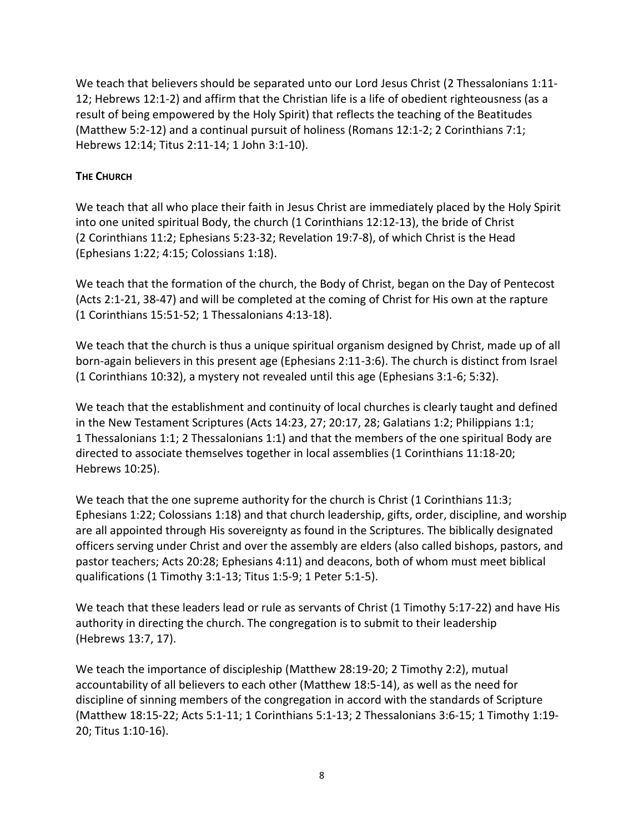We teach that believers should be separated unto our Lord Jesus Christ (2 [Thessalonians](http://biblia.com/books/nasb95/2Th1.11-12) 1:11- [12;](http://biblia.com/books/nasb95/2Th1.11-12) [Hebrews](http://biblia.com/books/nasb95/Heb12.1) 12:1-2) and affirm that the Christian life is a life of obedient righteousness (as a result of being empowered by the Holy Spirit) that reflects the teaching of the Beatitudes [\(Matthew](http://biblia.com/books/nasb95/Mt5.2-12) 5:2-12) and a continual pursuit of holiness [\(Romans](http://biblia.com/books/nasb95/Ro12.1-2) 12:1-2; 2 [Corinthians](http://biblia.com/books/nasb95/2Co7.1) 7:1; [Hebrews](http://biblia.com/books/nasb95/Heb12.14/) 12:14; Titus [2:11-14;](http://biblia.com/books/nasb95/Tt2.11) 1 John [3:1-10\)](http://biblia.com/books/nasb95/1Jn3.1).

## **THE CHURCH**

We teach that all who place their faith in Jesus Christ are immediately placed by the Holy Spirit into one united spiritual Body, the church (1 [Corinthians](http://biblia.com/books/nasb95/1Jn3.1) 12:12-13), the bride of Christ (2 [Corinthians](http://biblia.com/books/nasb95/2Co11.2) 11:2; [Ephesians](http://biblia.com/books/nasb95/Eph5.23) 5:23-32; [Revelation](http://biblia.com/books/nasb95/Re19.7) 19:7-8), of which Christ is the Head [\(Ephesians](http://biblia.com/books/nasb95/Eph1.22) 1:22; [4:15;](http://biblia.com/books/nasb95/Eph4.15) [Colossians](http://biblia.com/books/nasb95/Col1.17) 1:18).

We teach that the formation of the church, the Body of Christ, began on the Day of Pentecost (Acts [2:1-21,](http://biblia.com/books/nasb95/Ac2.1-21) 38-47) and will be completed at the coming of Christ for His own at the rapture (1 [Corinthians](http://biblia.com/books/nasb95/1Co15.51) 15:51-52; 1 [Thessalonians](http://biblia.com/books/nasb95/1Th4.13) 4:13-18).

We teach that the church is thus a unique spiritual organism designed by Christ, made up of all born-again believers in this present age (Ephesians 2:11-3:6). The church is distinct from Israel (1 [Corinthians](http://biblia.com/books/nasb95/1Co10.32) 10:32), a mystery not revealed until this age [\(Ephesians](http://biblia.com/books/nasb95/Eph3.1) 3:1-6; [5:32\)](http://biblia.com/books/nasb95/Eph5.32).

We teach that the establishment and continuity of local churches is clearly taught and defined in the New Testament Scriptures (Acts 14:23, 27; [20:17,](http://biblia.com/books/nasb95/Ac20.17) 28; [Galatians](http://biblia.com/books/nasb95/Ga1.2) 1:2; [Philippians](http://biblia.com/books/nasb95/Php1.1) 1:1; 1 [Thessalonians](http://biblia.com/books/nasb95/1Th1.1) 1:1; 2 [Thessalonians](http://biblia.com/books/nasb95/2Th1.1) 1:1) and that the members of the one spiritual Body are directed to associate themselves together in local assemblies (1 [Corinthians](http://biblia.com/books/nasb95/1Co11.18-20) 11:18-20; [Hebrews](http://biblia.com/books/nasb95/Heb10.25) 10:25).

We teach that the one supreme authority for the church is Christ (1 [Corinthians](http://biblia.com/books/nasb95/1Co11.3) 11:3; [Ephesians](http://biblia.com/books/nasb95/Eph1.22) 1:22[; Colossians](http://biblia.com/books/nasb95/Col1.17) 1:18) and that church leadership, gifts, order, discipline, and worship are all appointed through His sovereignty as found in the Scriptures. The biblically designated officers serving under Christ and over the assembly are elders (also called bishops, pastors, and pastor teachers; Acts [20:28;](http://biblia.com/books/nasb95/Ac20.28) [Ephesians](http://biblia.com/books/nasb95/Eph4.11) 4:11) and deacons, both of whom must meet biblical qualifications (1 [Timothy](http://biblia.com/books/nasb95/1Ti3.1-13) 3:1-13; Titus [1:5-9;](http://biblia.com/books/nasb95/Tt1.5-9) 1 Peter [5:1-5\)](http://biblia.com/books/nasb95/1Pe5.1-5).

We teach that these leaders lead or rule as servants of Christ (1 [Timothy](http://biblia.com/books/nasb95/1Ti5.17) 5:17-22) and have His authority in directing the church. The congregation is to submit to their leadership [\(Hebrews](http://biblia.com/books/nasb95/Heb13.7) 13:7, 17).

We teach the importance of discipleship [\(Matthew](http://biblia.com/books/nasb95/Mt28.19-20) 28:19-20; 2 [Timothy](http://biblia.com/books/nasb95/2Ti2.2) 2:2), mutual accountability of all believers to each other [\(Matthew](http://biblia.com/books/nasb95/Mt18.5-14) 18:5-14), as well as the need for discipline of sinning members of the congregation in accord with the standards of Scripture [\(Matthew](http://biblia.com/books/nasb95/Mt18.15-22) 18:15-22; Acts [5:1-11;](http://biblia.com/books/nasb95/Ac5.1-11) 1 [Corinthians](http://biblia.com/books/nasb95/Ac5.1-11) 5:1-13; 2 [Thessalonians](http://biblia.com/books/nasb95/Ac5.1-11) 3:6-15; 1 [Timothy](http://biblia.com/books/nasb95/1Ti1.19-20) 1:19- [20;](http://biblia.com/books/nasb95/1Ti1.19-20) Titus [1:10-16\)](http://biblia.com/books/nasb95/Tt1.10).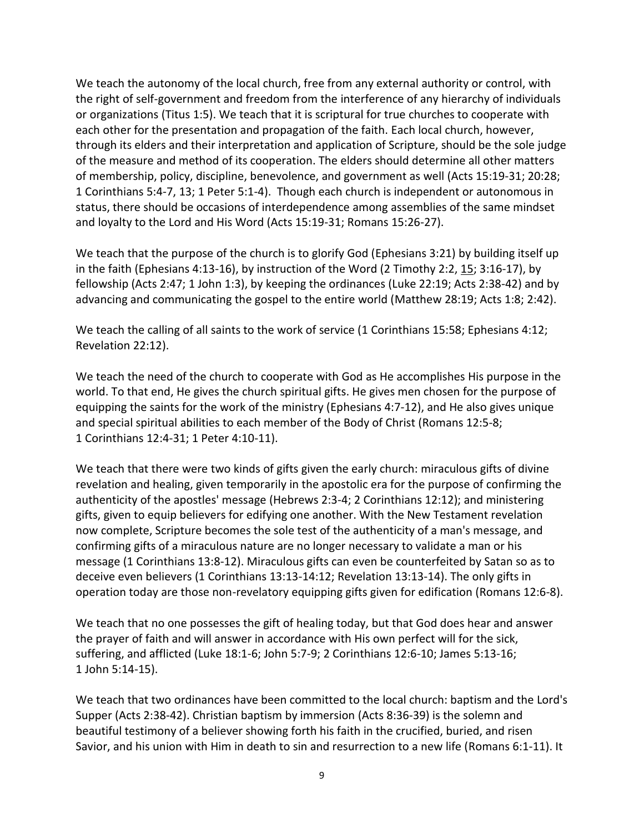We teach the autonomy of the local church, free from any external authority or control, with the right of self-government and freedom from the interference of any hierarchy of individuals or organizations [\(Titus](http://biblia.com/books/nasb95/Tt1.5) 1:5). We teach that it is scriptural for true churches to cooperate with each other for the presentation and propagation of the faith. Each local church, however, through its elders and their interpretation and application of Scripture, should be the sole judge of the measure and method of its cooperation. The elders should determine all other matters of membership, policy, discipline, benevolence, and government as well (Acts [15:19-31;](http://biblia.com/books/nasb95/Tt1.5) [20:28;](http://biblia.com/books/nasb95/Ac20.28) 1 [Corinthians](http://biblia.com/books/nasb95/1Co5.4) 5:4-7, 13; 1 Peter [5:1-4\)](http://biblia.com/books/nasb95/1Pe5.1). Though each church is independent or autonomous in status, there should be occasions of interdependence among assemblies of the same mindset and loyalty to the Lord and His Word (Acts 15:19-31; Romans 15:26-27).

We teach that the purpose of the church is to glorify God [\(Ephesians](http://biblia.com/books/nasb95/Eph3.21) 3:21) by building itself up in the faith [\(Ephesians](http://biblia.com/books/nasb95/Eph4.13-16) 4:13-16), by instruction of the Word (2 [Timothy](http://biblia.com/books/nasb95/2Ti2.2) 2:2, [15;](http://biblia.com/books/nasb95/2Ti2.15) [3:16-17\)](http://biblia.com/books/nasb95/2Ti3.16-17), by fellowship (Acts [2:47;](http://biblia.com/books/nasb95/Ac2.47) 1 [John](http://biblia.com/books/nasb95/1Jn1.3) 1:3), by keeping the ordinances (Luke [22:19;](http://biblia.com/books/nasb95/Lk22.19) Acts [2:38-42\)](http://biblia.com/books/nasb95/Ac2.38) and by advancing and communicating the gospel to the entire world [\(Matthew](http://biblia.com/books/nasb95/Mt28.19) 28:19; [Acts](http://biblia.com/books/nasb95/Ac1.8) 1:8; [2:42\)](http://biblia.com/books/nasb95/Ac2.42).

We teach the calling of all saints to the work of service (1 [Corinthians](http://biblia.com/books/nasb95/1Co15.58) 15:58; [Ephesians](http://biblia.com/books/nasb95/Eph4.12) 4:12; [Revelation](http://biblia.com/books/nasb95/Re22.12) 22:12).

We teach the need of the church to cooperate with God as He accomplishes His purpose in the world. To that end, He gives the church spiritual gifts. He gives men chosen for the purpose of equipping the saints for the work of the ministry [\(Ephesians](http://biblia.com/books/nasb95/Eph4.7-12) 4:7-12), and He also gives unique and special spiritual abilities to each member of the Body of Christ [\(Romans](http://biblia.com/books/nasb95/Eph4.7-12) 12:5-8; 1 [Corinthians](http://biblia.com/books/nasb95/1Co12.4) 12:4-31; 1 Peter [4:10-11\)](http://biblia.com/books/nasb95/1Pe4.10-11).

We teach that there were two kinds of gifts given the early church: miraculous gifts of divine revelation and healing, given temporarily in the apostolic era for the purpose of confirming the authenticity of the apostles' message [\(Hebrews](http://biblia.com/books/nasb95/Heb2.3) 2:3-4; 2 [Corinthians](http://biblia.com/books/nasb95/2Co12.12) 12:12); and ministering gifts, given to equip believers for edifying one another. With the New Testament revelation now complete, Scripture becomes the sole test of the authenticity of a man's message, and confirming gifts of a miraculous nature are no longer necessary to validate a man or his message (1 [Corinthians](http://biblia.com/books/nasb95/1Co13.8-12) 13:8-12). Miraculous gifts can even be counterfeited by Satan so as to deceive even believers (1 Corinthians 13:13-14:12; [Revelation](http://biblia.com/books/nasb95/Re13.13-14) 13:13-14). The only gifts in operation today are those non-revelatory equipping gifts given for edification [\(Romans](http://biblia.com/books/nasb95/Ro12.6-8) 12:6-8).

We teach that no one possesses the gift of healing today, but that God does hear and answer the prayer of faith and will answer in accordance with His own perfect will for the sick, suffering, and afflicted (Luke [18:1-6;](http://biblia.com/books/nasb95/Lk18.1) John [5:7-9;](http://biblia.com/books/nasb95/Jn5.7) 2 [Corinthians](http://biblia.com/books/nasb95/2Co12.6) 12:6-10; James [5:13-16;](http://biblia.com/books/nasb95/Jas5.13) 1 John [5:14-15\)](http://biblia.com/books/nasb95/1Jn5.14).

We teach that two ordinances have been committed to the local church: baptism and the Lord's Supper (Acts [2:38-42\)](http://biblia.com/books/nasb95/Ac2.38-42). Christian baptism by immersion (Acts [8:36-39\)](http://biblia.com/books/nasb95/Ac2.38-42) is the solemn and beautiful testimony of a believer showing forth his faith in the crucified, buried, and risen Savior, and his union with Him in death to sin and resurrection to a new life [\(Romans](http://biblia.com/books/nasb95/Ro6.1) 6:1-11). It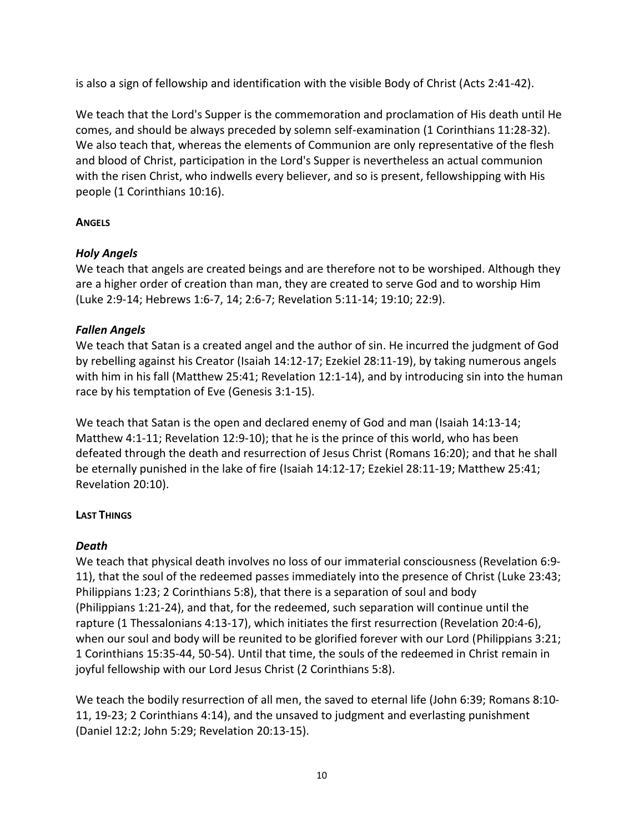is also a sign of fellowship and identification with the visible Body of Christ (Acts [2:41-42\)](http://biblia.com/books/nasb95/Ac2.41).

We teach that the Lord's Supper is the commemoration and proclamation of His death until He comes, and should be always preceded by solemn self-examination (1 [Corinthians](http://biblia.com/books/nasb95/1Co11.28-32) 11:28-32). We also teach that, whereas the elements of Communion are only representative of the flesh and blood of Christ, participation in the Lord's Supper is nevertheless an actual communion with the risen Christ, who indwells every believer, and so is present, fellowshipping with His people (1 [Corinthians](http://biblia.com/books/nasb95/1Co11.28-32) 10:16).

# **ANGELS**

# *Holy Angels*

We teach that angels are created beings and are therefore not to be worshiped. Although they are a higher order of creation than man, they are created to serve God and to worship Him (Luke [2:9-14;](http://biblia.com/books/nasb95/Lk2.9-14) [Hebrews](http://biblia.com/books/nasb95/Heb1.6-7) 1:6-7, 14; [2:6-7; Revelation](http://biblia.com/books/nasb95/Heb2.6-7) 5:11-14; [19:10;](http://biblia.com/books/nasb95/Re19.10) [22:9\)](http://biblia.com/books/nasb95/Re22.9).

# *Fallen Angels*

We teach that Satan is a created angel and the author of sin. He incurred the judgment of God by rebelling against his Creator (Isaiah [14:12-17;](http://biblia.com/books/nasb95/Is14.12) Ezekiel [28:11-19\)](http://biblia.com/books/nasb95/Eze28.11-19), by taking numerous angels with him in his fall [\(Matthew](http://biblia.com/books/nasb95/Mt25.41) 25:41; [Revelation](http://biblia.com/books/nasb95/Re12.1) 12:1-14), and by introducing sin into the human race by his temptation of Eve [\(Genesis](http://biblia.com/books/nasb95/Ge3.1-15) 3:1-15).

We teach that Satan is the open and declared enemy of God and man (Isaiah [14:13-14;](http://biblia.com/books/nasb95/Is14.13) [Matthew](http://biblia.com/books/nasb95/Mt4.1) 4:1-11[; Revelation](http://biblia.com/books/nasb95/Re12.9-10) 12:9-10); that he is the prince of this world, who has been defeated through the death and resurrection of Jesus Christ [\(Romans](http://biblia.com/books/nasb95/Ro16.20) 16:20); and that he shall be eternally punished in the lake of fire (Isaiah [14:12-17;](http://biblia.com/books/nasb95/Is14.12-17) Ezekiel [28:11-19;](http://biblia.com/books/nasb95/Eze28.11-19) [Matthew](http://biblia.com/books/nasb95/Mt25.41) 25:41; [Revelation](http://biblia.com/books/nasb95/Re20.10) 20:10).

# **LAST THINGS**

## *Death*

We teach that physical death involves no loss of our immaterial consciousness [\(Revelation](http://www.biblegateway.com/passage/?version=49&search=Revelation+6:9-11;Revelation+6) 6:9- [11\)](http://www.biblegateway.com/passage/?version=49&search=Revelation+6:9-11;Revelation+6), that the soul of the redeemed passes immediately into the presence of Christ (Luke [23:43;](http://www.biblegateway.com/passage/?version=49&search=Luke+23:43;Luke+23) [Philippians](http://www.biblegateway.com/passage/?version=49&search=Philippians+1:23;Philippians+1) 1:23; 2 [Corinthians](http://www.biblegateway.com/passage/?version=49&search=2Corinthians+5:8;2Corinthians+5) 5:8), that there is a separation of soul and body [\(Philippians](http://www.biblegateway.com/passage/?version=49&search=Philippians+1:21-24;Philippians+1) 1:21-24), and that, for the redeemed, such separation will continue until the rapture (1 [Thessalonians](http://www.biblegateway.com/passage/?version=49&search=1Thessalonians+4:13-17;1Thessalonians+4) 4:13-17), which initiates the first resurrection [\(Revelation](http://biblia.com/books/nasb95/Re20.4-6) 20:4-6), when our soul and body will be reunited to be glorified forever with our Lord [\(Philippians](http://biblia.com/books/nasb95/Php3.21) 3:21; 1 [Corinthians](http://biblia.com/books/nasb95/1Co15.35) 15:35-44, 50-54). Until that time, the souls of the redeemed in Christ remain in joyful fellowship with our Lord Jesus Christ (2 [Corinthians](http://biblia.com/books/nasb95/2Co5.8) 5:8).

We teach the bodily resurrection of all men, the saved to eternal life [\(John](http://biblia.com/books/nasb95/Jn6.39) 6:39[; Romans](http://biblia.com/books/nasb95/Ro8.10-11) 8:10- [11,](http://biblia.com/books/nasb95/Ro8.10-11) 19-23; 2 [Corinthians](http://biblia.com/books/nasb95/2Co4.14) 4:14), and the unsaved to judgment and everlasting punishment [\(Daniel](http://biblia.com/books/nasb95/Da12.2) 12:2[; John](http://biblia.com/books/nasb95/Jn5.29) 5:29; [Revelation](http://biblia.com/books/nasb95/Re20.13) 20:13-15).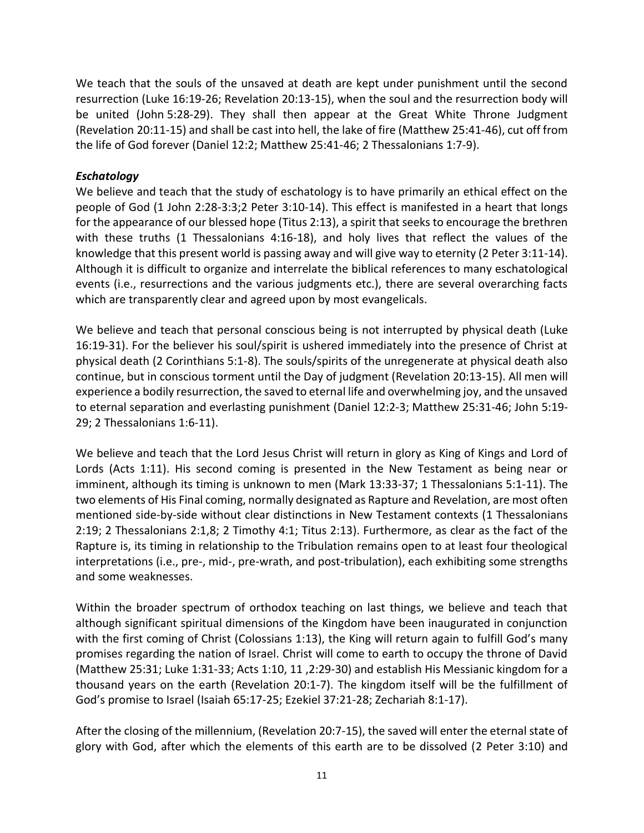We teach that the souls of the unsaved at death are kept under punishment until the second resurrection (Luke [16:19-26;](http://biblia.com/books/nasb95/Lk16.19) [Revelation](http://biblia.com/books/nasb95/Re20.13-15) 20:13-15), when the soul and the resurrection body will be united (John [5:28-29\)](http://biblia.com/books/nasb95/Jn5.28-29). They shall then appear at the Great White Throne Judgment [\(Revelation](http://biblia.com/books/nasb95/Re20.11) 20:11-15) and shall be cast into hell, the lake of fire [\(Matthew](http://biblia.com/books/nasb95/Mt25.41-46) 25:41-46), cut off from the life of God forever [\(Daniel](http://biblia.com/books/nasb95/Da12.2) 12:2; [Matthew](http://biblia.com/books/nasb95/Mt25.41-46) 25:41-46; 2 [Thessalonians](http://biblia.com/books/nasb95/2Th1.7-9) 1:7-9).

## *Eschatology*

We believe and teach that the study of eschatology is to have primarily an ethical effect on the people of God [\(1 John 2:28-3:3](http://biblia.com/bible/esv/1%20John%202.28-3.3)[;2 Peter 3:10-14\)](http://biblia.com/bible/esv/2%20Peter%203.10-14). This effect is manifested in a heart that longs for the appearance of our blessed hope [\(Titus 2:13\)](http://biblia.com/bible/esv/Titus%202.13), a spirit that seeks to encourage the brethren with these truths [\(1 Thessalonians 4:16-18\)](http://biblia.com/bible/esv/1%20Thessalonians%204.16-18), and holy lives that reflect the values of the knowledge that this present world is passing away and will give way to eternity [\(2 Peter 3:11-14\)](http://biblia.com/bible/esv/2%20Peter%203.11-14). Although it is difficult to organize and interrelate the biblical references to many eschatological events (i.e., resurrections and the various judgments etc.), there are several overarching facts which are transparently clear and agreed upon by most evangelicals.

We believe and teach that personal conscious being is not interrupted by physical death [\(Luke](http://biblia.com/bible/esv/Luke%2016.19-31)  [16:19-31\)](http://biblia.com/bible/esv/Luke%2016.19-31). For the believer his soul/spirit is ushered immediately into the presence of Christ at physical death [\(2 Corinthians 5:1-8\)](http://biblia.com/bible/esv/2%20Corinthians%205.1-8). The souls/spirits of the unregenerate at physical death also continue, but in conscious torment until the Day of judgment [\(Revelation 20:13-15\)](http://biblia.com/bible/esv/Revelation%2020.13-15). All men will experience a bodily resurrection, the saved to eternal life and overwhelming joy, and the unsaved to eternal separation and everlasting punishment [\(Daniel 12:2-3;](http://biblia.com/bible/esv/Daniel%2012.2-3) [Matthew 25:31-46;](http://biblia.com/bible/esv/Matthew%2025.31-46) [John 5:19-](http://biblia.com/bible/esv/John%205.19-29) [29;](http://biblia.com/bible/esv/John%205.19-29) [2 Thessalonians 1:6-11\)](http://biblia.com/bible/esv/2%20Thessalonians%201.6-11).

We believe and teach that the Lord Jesus Christ will return in glory as King of Kings and Lord of Lords [\(Acts 1:11\)](http://biblia.com/bible/esv/Acts%201.11). His second coming is presented in the New Testament as being near or imminent, although its timing is unknown to men [\(Mark 13:33-37;](http://biblia.com/bible/esv/Mark%2013.33-37) [1 Thessalonians 5:1-11\)](http://biblia.com/bible/esv/1%20Thessalonians%205.1-11). The two elements of His Final coming, normally designated as Rapture and Revelation, are most often mentioned side-by-side without clear distinctions in New Testament contexts [\(1 Thessalonians](http://biblia.com/bible/esv/1%20Thessalonians%202.19)  [2:19;](http://biblia.com/bible/esv/1%20Thessalonians%202.19) [2 Thessalonians 2:1,](http://biblia.com/bible/esv/2%20Thessalonians%202.1)[8;](http://biblia.com/bible/esv/2%20Thessalonians%202.8) [2 Timothy 4:1;](http://biblia.com/bible/esv/2%20Timothy%204.1) [Titus 2:13\)](http://biblia.com/bible/esv/Titus%202.13). Furthermore, as clear as the fact of the Rapture is, its timing in relationship to the Tribulation remains open to at least four theological interpretations (i.e., pre-, mid-, pre-wrath, and post-tribulation), each exhibiting some strengths and some weaknesses.

Within the broader spectrum of orthodox teaching on last things, we believe and teach that although significant spiritual dimensions of the Kingdom have been inaugurated in conjunction with the first coming of Christ [\(Colossians 1:13](http://biblia.com/bible/esv/Colossians%201.13)), the King will return again to fulfill God's many promises regarding the nation of Israel. Christ will come to earth to occupy the throne of David [\(Matthew 25:31;](http://biblia.com/bible/esv/Matthew%2025.31) [Luke 1:31-33;](http://biblia.com/bible/esv/Luke%201.31-33) [Acts 1:10,](http://biblia.com/bible/esv/Acts%201.10) [11](http://biblia.com/bible/esv/Acts%201.11) ,2:29-30) and establish His Messianic kingdom for a thousand years on the earth [\(Revelation 20:1-7\)](http://biblia.com/bible/esv/Revelation%2020.1-7). The kingdom itself will be the fulfillment of God's promise to Israel ([Isaiah 65:17-25;](http://biblia.com/bible/esv/Isaiah%2065.17-25) [Ezekiel 37:21-28;](http://biblia.com/bible/esv/Ezekiel%2037.21-28) [Zechariah 8:1-17\)](http://biblia.com/bible/esv/Zechariah%208.1-17).

After the closing of the millennium, [\(Revelation 20:7-15\)](http://biblia.com/bible/esv/Revelation%2020.7-15), the saved will enter the eternal state of glory with God, after which the elements of this earth are to be dissolved [\(2 Peter 3:10\)](http://biblia.com/bible/esv/2%20Peter%203.10) and